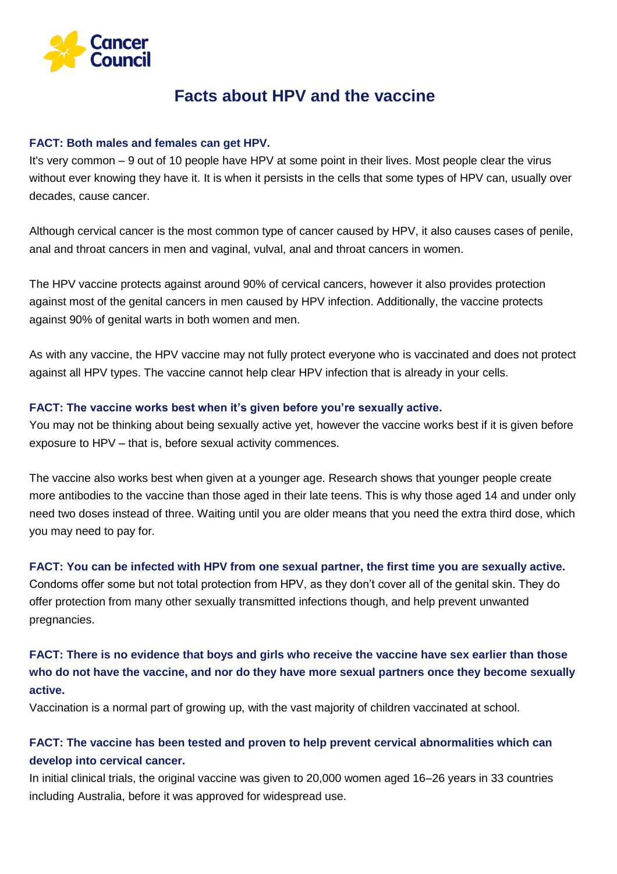

# **Facts about HPV and the vaccine**

#### **FACT: Both males and females can get HPV.**

It's very common – 9 out of 10 people have HPV at some point in their lives. Most people clear the virus without ever knowing they have it. It is when it persists in the cells that some types of HPV can, usually over decades, cause cancer.

Although cervical cancer is the most common type of cancer caused by HPV, it also causes cases of penile, anal and throat cancers in men and vaginal, vulval, anal and throat cancers in women.

The HPV vaccine protects against around 90% of cervical cancers, however it also provides protection against most of the genital cancers in men caused by HPV infection. Additionally, the vaccine protects against 90% of genital warts in both women and men.

As with any vaccine, the HPV vaccine may not fully protect everyone who is vaccinated and does not protect against all HPV types. The vaccine cannot help clear HPV infection that is already in your cells.

### **FACT: The vaccine works best when it's given before you're sexually active.**

You may not be thinking about being sexually active yet, however the vaccine works best if it is given before exposure to HPV – that is, before sexual activity commences.

The vaccine also works best when given at a younger age. Research shows that younger people create more antibodies to the vaccine than those aged in their late teens. This is why those aged 14 and under only need two doses instead of three. Waiting until you are older means that you need the extra third dose, which you may need to pay for.

#### **FACT: You can be infected with HPV from one sexual partner, the first time you are sexually active.**

Condoms offer some but not total protection from HPV, as they don't cover all of the genital skin. They do offer protection from many other sexually transmitted infections though, and help prevent unwanted pregnancies.

# **FACT: There is no evidence that boys and girls who receive the vaccine have sex earlier than those who do not have the vaccine, and nor do they have more sexual partners once they become sexually active.**

Vaccination is a normal part of growing up, with the vast majority of children vaccinated at school.

## **FACT: The vaccine has been tested and proven to help prevent cervical abnormalities which can develop into cervical cancer.**

In initial clinical trials, the original vaccine was given to 20,000 women aged 16–26 years in 33 countries including Australia, before it was approved for widespread use.